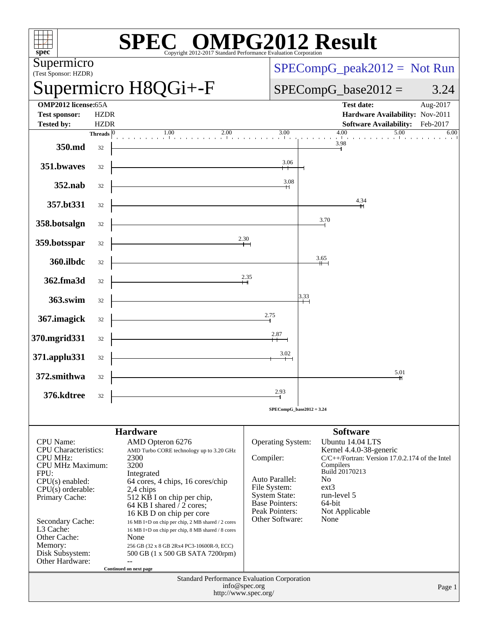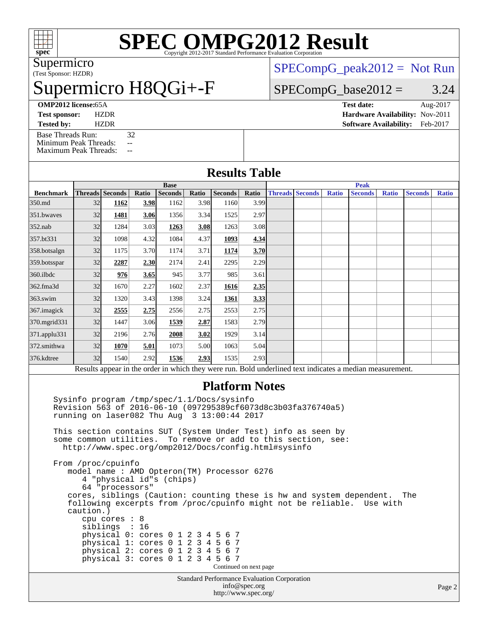

# **[SPEC OMPG2012 Result](http://www.spec.org/auto/omp2012/Docs/result-fields.html#SPECOMPG2012Result)**

(Test Sponsor: HZDR) Supermicro

## upermicro H8QGi+-F

 $SPECompG_peak2012 = Not Run$  $SPECompG_peak2012 = Not Run$ 

#### $SPECompG_base2012 = 3.24$  $SPECompG_base2012 = 3.24$

**[Test sponsor:](http://www.spec.org/auto/omp2012/Docs/result-fields.html#Testsponsor)** HZDR **[Hardware Availability:](http://www.spec.org/auto/omp2012/Docs/result-fields.html#HardwareAvailability)** Nov-2011

[Base Threads Run:](http://www.spec.org/auto/omp2012/Docs/result-fields.html#BaseThreadsRun) 32 [Minimum Peak Threads:](http://www.spec.org/auto/omp2012/Docs/result-fields.html#MinimumPeakThreads) --[Maximum Peak Threads:](http://www.spec.org/auto/omp2012/Docs/result-fields.html#MaximumPeakThreads) --

**[OMP2012 license:](http://www.spec.org/auto/omp2012/Docs/result-fields.html#OMP2012license)**65A **[Test date:](http://www.spec.org/auto/omp2012/Docs/result-fields.html#Testdate)** Aug-2017

**[Tested by:](http://www.spec.org/auto/omp2012/Docs/result-fields.html#Testedby)** HZDR **[Software Availability:](http://www.spec.org/auto/omp2012/Docs/result-fields.html#SoftwareAvailability)** Feb-2017

| <b>Results Table</b>  |                                                                                                                                                            |                                                                                                                                |       |                |       |         |       |             |                        |       |                                                                                                          |              |                |              |  |
|-----------------------|------------------------------------------------------------------------------------------------------------------------------------------------------------|--------------------------------------------------------------------------------------------------------------------------------|-------|----------------|-------|---------|-------|-------------|------------------------|-------|----------------------------------------------------------------------------------------------------------|--------------|----------------|--------------|--|
|                       | <b>Base</b>                                                                                                                                                |                                                                                                                                |       |                |       |         |       | <b>Peak</b> |                        |       |                                                                                                          |              |                |              |  |
| <b>Benchmark</b>      |                                                                                                                                                            | <b>Threads</b> Seconds                                                                                                         | Ratio | <b>Seconds</b> | Ratio | Seconds | Ratio |             | <b>Threads</b> Seconds | Ratio | <b>Seconds</b>                                                                                           | <b>Ratio</b> | <b>Seconds</b> | <b>Ratio</b> |  |
| 350.md                | 32                                                                                                                                                         | 1162                                                                                                                           | 3.98  | 1162           | 3.98  | 1160    | 3.99  |             |                        |       |                                                                                                          |              |                |              |  |
| 351.bwayes            | 32                                                                                                                                                         | 1481                                                                                                                           | 3.06  | 1356           | 3.34  | 1525    | 2.97  |             |                        |       |                                                                                                          |              |                |              |  |
| $352$ .nab            | 32                                                                                                                                                         | 1284                                                                                                                           | 3.03  | 1263           | 3.08  | 1263    | 3.08  |             |                        |       |                                                                                                          |              |                |              |  |
| 357.bt331             | 32                                                                                                                                                         | 1098                                                                                                                           | 4.32  | 1084           | 4.37  | 1093    | 4.34  |             |                        |       |                                                                                                          |              |                |              |  |
| 358.botsalgn          | 32                                                                                                                                                         | 1175                                                                                                                           | 3.70  | 1174           | 3.71  | 1174    | 3.70  |             |                        |       |                                                                                                          |              |                |              |  |
| 359.botsspar          | 32                                                                                                                                                         | 2287                                                                                                                           | 2.30  | 2174           | 2.41  | 2295    | 2.29  |             |                        |       |                                                                                                          |              |                |              |  |
| 360.ilbdc             | 32                                                                                                                                                         | 976                                                                                                                            | 3.65  | 945            | 3.77  | 985     | 3.61  |             |                        |       |                                                                                                          |              |                |              |  |
| 362.fma3d             | 32                                                                                                                                                         | 1670                                                                                                                           | 2.27  | 1602           | 2.37  | 1616    | 2.35  |             |                        |       |                                                                                                          |              |                |              |  |
| $363$ .swim           | 32                                                                                                                                                         | 1320                                                                                                                           | 3.43  | 1398           | 3.24  | 1361    | 3.33  |             |                        |       |                                                                                                          |              |                |              |  |
| 367.imagick           | 32                                                                                                                                                         | 2555                                                                                                                           | 2.75  | 2556           | 2.75  | 2553    | 2.75  |             |                        |       |                                                                                                          |              |                |              |  |
| 370.mgrid331          | 32                                                                                                                                                         | 1447                                                                                                                           | 3.06  | 1539           | 2.87  | 1583    | 2.79  |             |                        |       |                                                                                                          |              |                |              |  |
| 371.applu331          | 32                                                                                                                                                         | 2196                                                                                                                           | 2.76  | 2008           | 3.02  | 1929    | 3.14  |             |                        |       |                                                                                                          |              |                |              |  |
| 372.smithwa           | 32                                                                                                                                                         | 1070                                                                                                                           | 5.01  | 1073           | 5.00  | 1063    | 5.04  |             |                        |       |                                                                                                          |              |                |              |  |
| 376.kdtree            | 32                                                                                                                                                         | 1540                                                                                                                           | 2.92  | 1536           | 2.93  | 1535    | 2.93  |             |                        |       |                                                                                                          |              |                |              |  |
|                       |                                                                                                                                                            |                                                                                                                                |       |                |       |         |       |             |                        |       | Results appear in the order in which they were run. Bold underlined text indicates a median measurement. |              |                |              |  |
|                       |                                                                                                                                                            |                                                                                                                                |       |                |       |         |       |             |                        |       |                                                                                                          |              |                |              |  |
| <b>Platform Notes</b> |                                                                                                                                                            |                                                                                                                                |       |                |       |         |       |             |                        |       |                                                                                                          |              |                |              |  |
|                       | Sysinfo program /tmp/spec/1.1/Docs/sysinfo<br>Revision 563 of 2016-06-10 (097295389cf6073d8c3b03fa376740a5)<br>running on laser082 Thu Aug 3 13:00:44 2017 |                                                                                                                                |       |                |       |         |       |             |                        |       |                                                                                                          |              |                |              |  |
|                       |                                                                                                                                                            | This section contains SUT (System Under Test) info as seen by<br>some common utilities. To remove or add to this section, see: |       |                |       |         |       |             |                        |       |                                                                                                          |              |                |              |  |

<http://www.spec.org/omp2012/Docs/config.html#sysinfo>

Standard Performance Evaluation Corporation From /proc/cpuinfo model name : AMD Opteron(TM) Processor 6276 4 "physical id"s (chips) 64 "processors" cores, siblings (Caution: counting these is hw and system dependent. The following excerpts from /proc/cpuinfo might not be reliable. Use with caution.) cpu cores : 8 siblings : 16 physical 0: cores 0 1 2 3 4 5 6 7 physical 1: cores 0 1 2 3 4 5 6 7 physical 2: cores 0 1 2 3 4 5 6 7 physical 3: cores 0 1 2 3 4 5 6 7 Continued on next page

[info@spec.org](mailto:info@spec.org) <http://www.spec.org/>

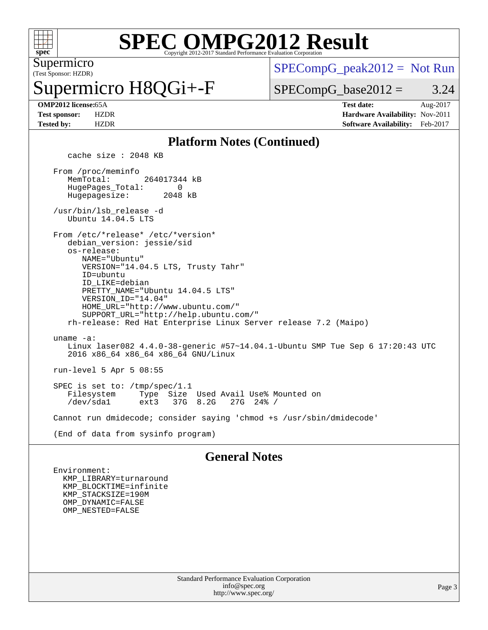

#### **[SPEC OMPG2012 Result](http://www.spec.org/auto/omp2012/Docs/result-fields.html#SPECOMPG2012Result)** Copyright 2012-2017 Standard Performance Evaluation Corporation

(Test Sponsor: HZDR) Supermicro

# permicro H8QGi+-F

 $SPECompG_peak2012 = Not Run$  $SPECompG_peak2012 = Not Run$ 

 $SPECompG_base2012 = 3.24$  $SPECompG_base2012 = 3.24$ 

**[OMP2012 license:](http://www.spec.org/auto/omp2012/Docs/result-fields.html#OMP2012license)**65A **[Test date:](http://www.spec.org/auto/omp2012/Docs/result-fields.html#Testdate)** Aug-2017 **[Test sponsor:](http://www.spec.org/auto/omp2012/Docs/result-fields.html#Testsponsor)** HZDR **[Hardware Availability:](http://www.spec.org/auto/omp2012/Docs/result-fields.html#HardwareAvailability)** Nov-2011 **[Tested by:](http://www.spec.org/auto/omp2012/Docs/result-fields.html#Testedby)** HZDR **[Software Availability:](http://www.spec.org/auto/omp2012/Docs/result-fields.html#SoftwareAvailability)** Feb-2017

#### **[Platform Notes \(Continued\)](http://www.spec.org/auto/omp2012/Docs/result-fields.html#PlatformNotes)**

cache size : 2048 KB

 From /proc/meminfo MemTotal: 264017344 kB HugePages\_Total: 0<br>Hugepagesize: 2048 kB Hugepagesize:

 /usr/bin/lsb\_release -d Ubuntu 14.04.5 LTS

From /etc/\*release\* /etc/\*version\*

 debian\_version: jessie/sid os-release:

 NAME="Ubuntu" VERSION="14.04.5 LTS, Trusty Tahr" ID=ubuntu ID\_LIKE=debian PRETTY\_NAME="Ubuntu 14.04.5 LTS" VERSION\_ID="14.04" HOME\_URL="<http://www.ubuntu.com/"> SUPPORT\_URL="<http://help.ubuntu.com/"> rh-release: Red Hat Enterprise Linux Server release 7.2 (Maipo)

 uname -a: Linux laser082 4.4.0-38-generic #57~14.04.1-Ubuntu SMP Tue Sep 6 17:20:43 UTC 2016 x86\_64 x86\_64 x86\_64 GNU/Linux

run-level 5 Apr 5 08:55

SPEC is set to: /tmp/spec/1.1<br>Filesystem Type Size Filesystem Type Size Used Avail Use% Mounted on 37G 8.2G

Cannot run dmidecode; consider saying 'chmod +s /usr/sbin/dmidecode'

(End of data from sysinfo program)

#### **[General Notes](http://www.spec.org/auto/omp2012/Docs/result-fields.html#GeneralNotes)**

 Environment: KMP\_LIBRARY=turnaround KMP\_BLOCKTIME=infinite KMP\_STACKSIZE=190M OMP\_DYNAMIC=FALSE OMP\_NESTED=FALSE